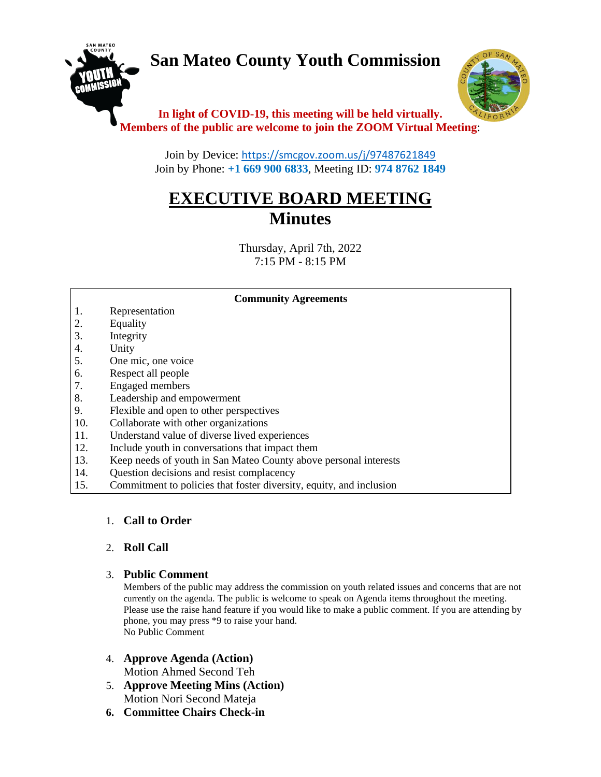# **San Mateo County Youth Commission**





## **In light of COVID-19, this meeting will be held virtually. Members of the public are welcome to join the ZOOM Virtual Meeting**:

Join by Device: <https://smcgov.zoom.us/j/97487621849> Join by Phone: **+1 669 900 6833**, Meeting ID: **974 8762 1849**

## **EXECUTIVE BOARD MEETING Minutes**

Thursday, April 7th, 2022 7:15 PM - 8:15 PM

#### **Community Agreements**

- 1. Representation
- 2. Equality
- 3. Integrity
- 4. Unity
- 5. One mic, one voice
- 6. Respect all people
- 7. Engaged members
- 8. Leadership and empowerment
- 9. Flexible and open to other perspectives
- 10. Collaborate with other organizations
- 11. Understand value of diverse lived experiences
- 12. Include youth in conversations that impact them
- 13. Keep needs of youth in San Mateo County above personal interests
- 14. Question decisions and resist complacency
- 15. Commitment to policies that foster diversity, equity, and inclusion

#### 1. **Call to Order**

#### 2. **Roll Call**

#### 3. **Public Comment**

Members of the public may address the commission on youth related issues and concerns that are not currently on the agenda. The public is welcome to speak on Agenda items throughout the meeting. Please use the raise hand feature if you would like to make a public comment. If you are attending by phone, you may press \*9 to raise your hand. No Public Comment

- 4. **Approve Agenda (Action)** Motion Ahmed Second Teh
- 5. **Approve Meeting Mins (Action)** Motion Nori Second Mateja
- **6. Committee Chairs Check-in**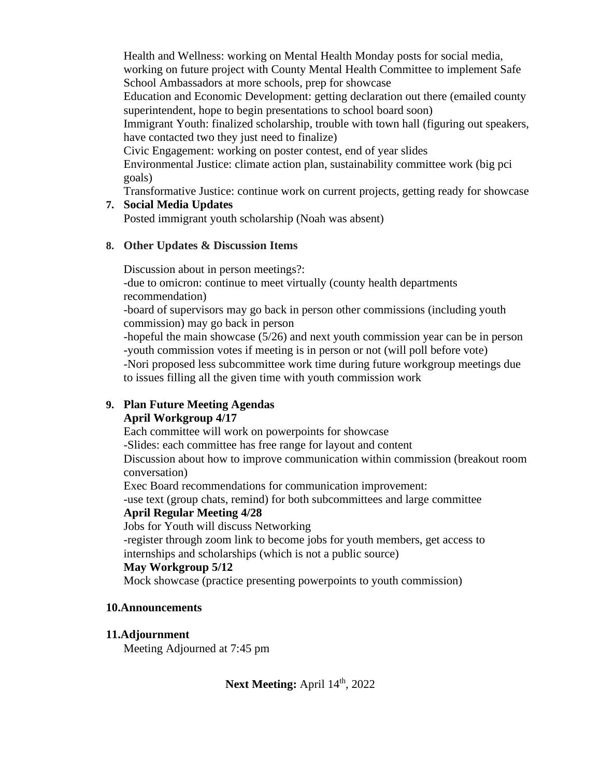Health and Wellness: working on Mental Health Monday posts for social media, working on future project with County Mental Health Committee to implement Safe School Ambassadors at more schools, prep for showcase

Education and Economic Development: getting declaration out there (emailed county superintendent, hope to begin presentations to school board soon)

Immigrant Youth: finalized scholarship, trouble with town hall (figuring out speakers, have contacted two they just need to finalize)

Civic Engagement: working on poster contest, end of year slides

Environmental Justice: climate action plan, sustainability committee work (big pci goals)

Transformative Justice: continue work on current projects, getting ready for showcase

#### **7. Social Media Updates**

Posted immigrant youth scholarship (Noah was absent)

## **8. Other Updates & Discussion Items**

Discussion about in person meetings?:

-due to omicron: continue to meet virtually (county health departments recommendation)

-board of supervisors may go back in person other commissions (including youth commission) may go back in person

-hopeful the main showcase (5/26) and next youth commission year can be in person -youth commission votes if meeting is in person or not (will poll before vote) -Nori proposed less subcommittee work time during future workgroup meetings due to issues filling all the given time with youth commission work

## **9. Plan Future Meeting Agendas**

## **April Workgroup 4/17**

Each committee will work on powerpoints for showcase

-Slides: each committee has free range for layout and content

Discussion about how to improve communication within commission (breakout room conversation)

Exec Board recommendations for communication improvement:

-use text (group chats, remind) for both subcommittees and large committee **April Regular Meeting 4/28**

Jobs for Youth will discuss Networking

-register through zoom link to become jobs for youth members, get access to internships and scholarships (which is not a public source)

#### **May Workgroup 5/12**

Mock showcase (practice presenting powerpoints to youth commission)

## **10.Announcements**

## **11.Adjournment**

Meeting Adjourned at 7:45 pm

## Next Meeting: April 14<sup>th</sup>, 2022